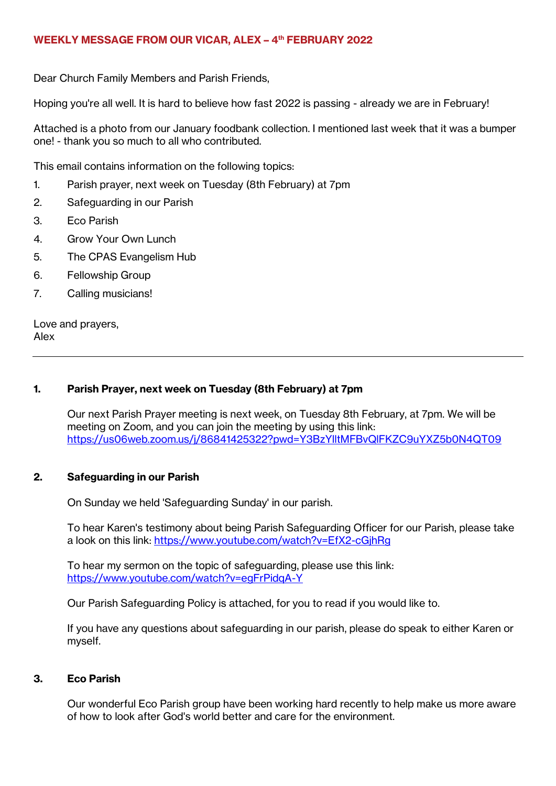## **WEEKLY MESSAGE FROM OUR VICAR, ALEX – 4 th FEBRUARY 2022**

Dear Church Family Members and Parish Friends,

Hoping you're all well. It is hard to believe how fast 2022 is passing - already we are in February!

Attached is a photo from our January foodbank collection. I mentioned last week that it was a bumper one! - thank you so much to all who contributed.

This email contains information on the following topics:

- 1. Parish prayer, next week on Tuesday (8th February) at 7pm
- 2. Safeguarding in our Parish
- 3. Eco Parish
- 4. Grow Your Own Lunch
- 5. The CPAS Evangelism Hub
- 6. Fellowship Group
- 7. Calling musicians!

Love and prayers, Alex

## **1. Parish Prayer, next week on Tuesday (8th February) at 7pm**

Our next Parish Prayer meeting is next week, on Tuesday 8th February, at 7pm. We will be meeting on Zoom, and you can join the meeting by using this link: <https://us06web.zoom.us/j/86841425322?pwd=Y3BzYlltMFBvQlFKZC9uYXZ5b0N4QT09>

# **2. Safeguarding in our Parish**

On Sunday we held 'Safeguarding Sunday' in our parish.

To hear Karen's testimony about being Parish Safeguarding Officer for our Parish, please take a look on this link:<https://www.youtube.com/watch?v=EfX2-cGjhRg>

To hear my sermon on the topic of safeguarding, please use this link: <https://www.youtube.com/watch?v=egFrPidqA-Y>

Our Parish Safeguarding Policy is attached, for you to read if you would like to.

If you have any questions about safeguarding in our parish, please do speak to either Karen or myself.

#### **3. Eco Parish**

Our wonderful Eco Parish group have been working hard recently to help make us more aware of how to look after God's world better and care for the environment.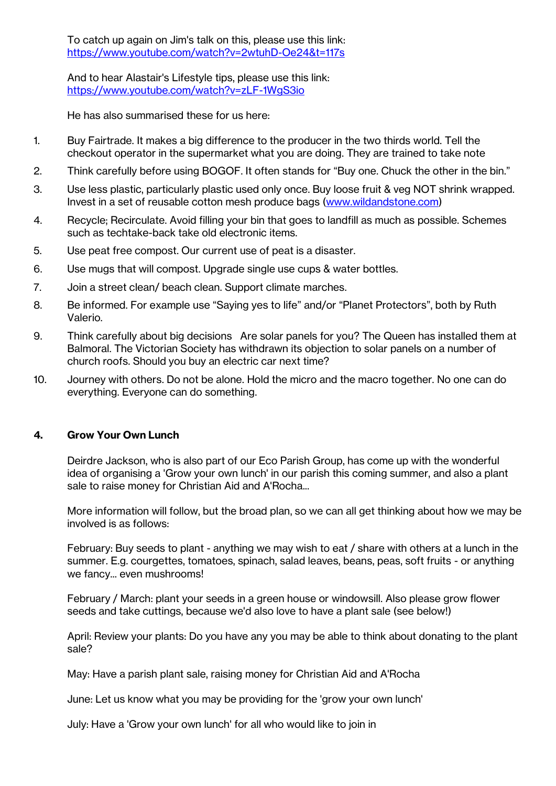To catch up again on Jim's talk on this, please use this link: <https://www.youtube.com/watch?v=2wtuhD-Oe24&t=117s>

And to hear Alastair's Lifestyle tips, please use this link: <https://www.youtube.com/watch?v=zLF-1WgS3io>

He has also summarised these for us here:

- 1. Buy Fairtrade. It makes a big difference to the producer in the two thirds world. Tell the checkout operator in the supermarket what you are doing. They are trained to take note
- 2. Think carefully before using BOGOF. It often stands for "Buy one. Chuck the other in the bin."
- 3. Use less plastic, particularly plastic used only once. Buy loose fruit & veg NOT shrink wrapped. Invest in a set of reusable cotton mesh produce bags [\(www.wildandstone.com\)](www.wildandstone.com)
- 4. Recycle; Recirculate. Avoid filling your bin that goes to landfill as much as possible. Schemes such as techtake-back take old electronic items.
- 5. Use peat free compost. Our current use of peat is a disaster.
- 6. Use mugs that will compost. Upgrade single use cups & water bottles.
- 7. Join a street clean/ beach clean. Support climate marches.
- 8. Be informed. For example use "Saying yes to life" and/or "Planet Protectors", both by Ruth Valerio.
- 9. Think carefully about big decisions Are solar panels for you? The Queen has installed them at Balmoral. The Victorian Society has withdrawn its objection to solar panels on a number of church roofs. Should you buy an electric car next time?
- 10. Journey with others. Do not be alone. Hold the micro and the macro together. No one can do everything. Everyone can do something.

# **4. Grow Your Own Lunch**

Deirdre Jackson, who is also part of our Eco Parish Group, has come up with the wonderful idea of organising a 'Grow your own lunch' in our parish this coming summer, and also a plant sale to raise money for Christian Aid and A'Rocha...

More information will follow, but the broad plan, so we can all get thinking about how we may be involved is as follows:

February: Buy seeds to plant - anything we may wish to eat / share with others at a lunch in the summer. E.g. courgettes, tomatoes, spinach, salad leaves, beans, peas, soft fruits - or anything we fancy... even mushrooms!

February / March: plant your seeds in a green house or windowsill. Also please grow flower seeds and take cuttings, because we'd also love to have a plant sale (see below!)

April: Review your plants: Do you have any you may be able to think about donating to the plant sale?

May: Have a parish plant sale, raising money for Christian Aid and A'Rocha

June: Let us know what you may be providing for the 'grow your own lunch'

July: Have a 'Grow your own lunch' for all who would like to join in